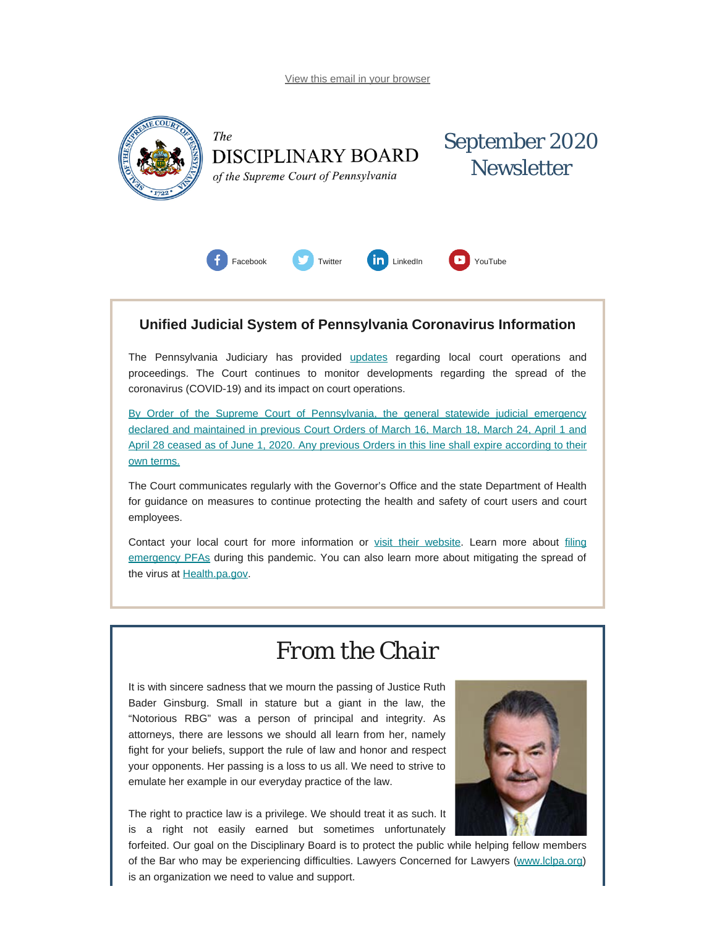<span id="page-0-0"></span>

### **Unified Judicial System of Pennsylvania Coronavirus Information**

The Pennsylvania Judiciary has provided [updates](http://www.pacourts.us/ujs-coronavirus-information) regarding local court operations and proceedings. The Court continues to monitor developments regarding the spread of the coronavirus (COVID-19) and its impact on court operations.

[By Order of the Supreme Court of Pennsylvania, the general statewide judicial emergency](http://www.pacourts.us/assets/files/page-1305/file-9376.pdf) [declared and maintained in previous Court Orders of March 16, March 18, March 24, April 1 and](http://www.pacourts.us/assets/files/page-1305/file-9376.pdf) [April 28 ceased as of June 1, 2020. Any previous Orders in this line shall expire according to their](http://www.pacourts.us/assets/files/page-1305/file-9376.pdf) [own terms.](http://www.pacourts.us/assets/files/page-1305/file-9376.pdf)

The Court communicates regularly with the Governor's Office and the state Department of Health for guidance on measures to continue protecting the health and safety of court users and court employees.

Contact your local court for more information or [visit their website.](http://www.pacourts.us/courts/courts-of-common-pleas/) Learn more about [filing](http://www.pacourts.us/learn/protection-orders) [emergency PFAs](http://www.pacourts.us/learn/protection-orders) during this pandemic. You can also learn more about mitigating the spread of the virus at **Health.pa.gov**.

## *From the Chair*

It is with sincere sadness that we mourn the passing of Justice Ruth Bader Ginsburg. Small in stature but a giant in the law, the "Notorious RBG" was a person of principal and integrity. As attorneys, there are lessons we should all learn from her, namely fight for your beliefs, support the rule of law and honor and respect your opponents. Her passing is a loss to us all. We need to strive to emulate her example in our everyday practice of the law.

The right to practice law is a privilege. We should treat it as such. It is a right not easily earned but sometimes unfortunately



forfeited. Our goal on the Disciplinary Board is to protect the public while helping fellow members of the Bar who may be experiencing difficulties. Lawyers Concerned for Lawyers [\(www.lclpa.org](http://www.lclpa.org/)) is an organization we need to value and support.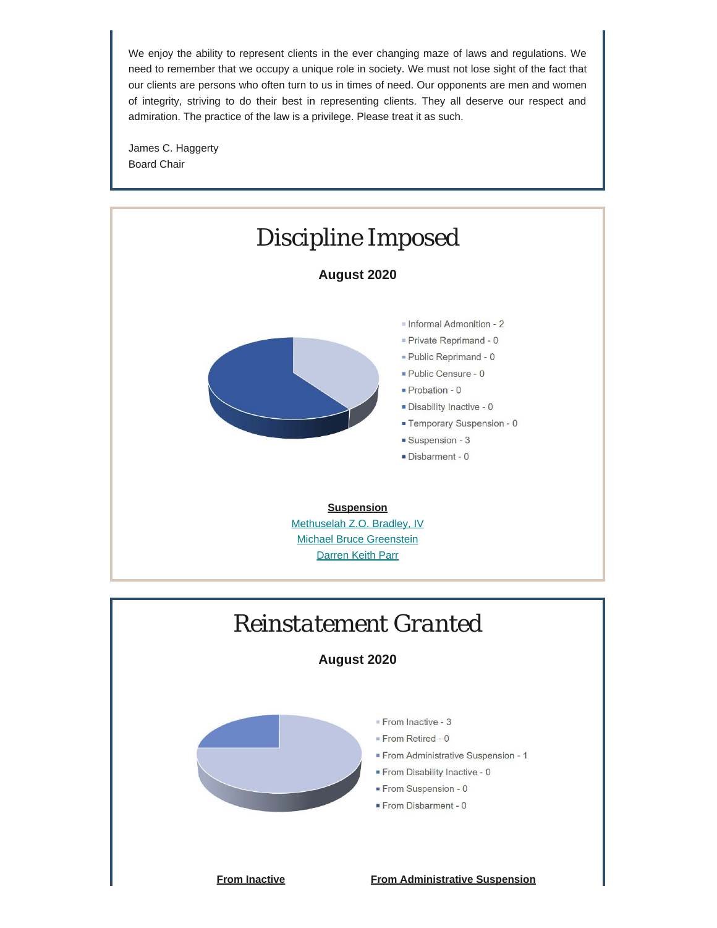We enjoy the ability to represent clients in the ever changing maze of laws and regulations. We need to remember that we occupy a unique role in society. We must not lose sight of the fact that our clients are persons who often turn to us in times of need. Our opponents are men and women of integrity, striving to do their best in representing clients. They all deserve our respect and admiration. The practice of the law is a privilege. Please treat it as such.

James C. Haggerty Board Chair





**August 2020**



**From Inactive From Administrative Suspension**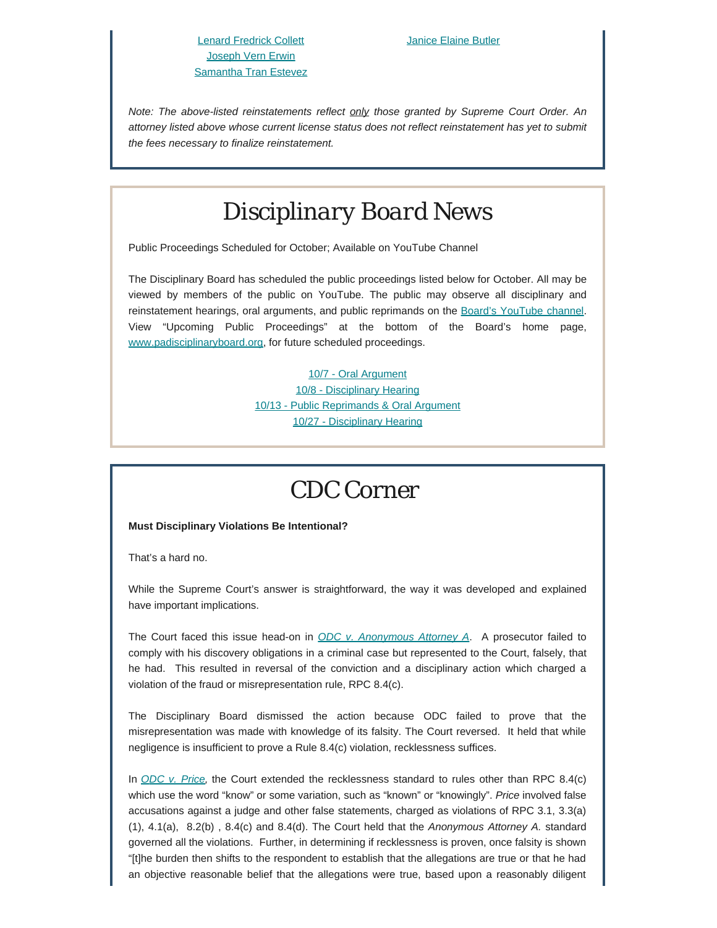*Note: The above-listed reinstatements reflect only those granted by Supreme Court Order. An attorney listed above whose current license status does not reflect reinstatement has yet to submit the fees necessary to finalize reinstatement.*

## *Disciplinary Board News*

Public Proceedings Scheduled for October; Available on YouTube Channel

The Disciplinary Board has scheduled the public proceedings listed below for October. All may be viewed by members of the public on YouTube. The public may observe all disciplinary and reinstatement hearings, oral arguments, and public reprimands on the [Board's YouTube channel](https://www.youtube.com/channel/UC7Rzfgcm91b2y3TRTXAViHw). View "Upcoming Public Proceedings" at the bottom of the Board's home page, [www.padisciplinaryboard.org,](https://www.padisciplinaryboard.org/) for future scheduled proceedings.

> [10/7 - Oral Argument](https://www.youtube.com/watch?v=dn9OMbTGlmM) [10/8 - Disciplinary Hearing](https://www.youtube.com/watch?v=4pouvvSfGkg) [10/13 - Public Reprimands & Oral Argument](https://www.youtube.com/watch?v=wJjwM9hbyYs) [10/27 - Disciplinary Hearing](https://www.youtube.com/watch?v=_gH4gRnKqaw)

### *CDC Corner*

#### **Must Disciplinary Violations Be Intentional?**

That's a hard no.

While the Supreme Court's answer is straightforward, the way it was developed and explained have important implications.

The Court faced this issue head-on in *[ODC v. Anonymous Attorney A](https://www.padisciplinaryboard.org/Storage/media/pdfs/20170630/135037-anonymousattorneya.pdf)*. A prosecutor failed to comply with his discovery obligations in a criminal case but represented to the Court, falsely, that he had. This resulted in reversal of the conviction and a disciplinary action which charged a violation of the fraud or misrepresentation rule, RPC 8.4(c).

The Disciplinary Board dismissed the action because ODC failed to prove that the misrepresentation was made with knowledge of its falsity. The Court reversed. It held that while negligence is insufficient to prove a Rule 8.4(c) violation, recklessness suffices.

In *[ODC v. Price](https://www.padisciplinaryboard.org/Storage/media/pdfs/20170609/181120-price,neilwerner.pdf),* the Court extended the recklessness standard to rules other than RPC 8.4(c) which use the word "know" or some variation, such as "known" or "knowingly". *Price* involved false accusations against a judge and other false statements, charged as violations of RPC 3.1, 3.3(a) (1), 4.1(a), 8.2(b) , 8.4(c) and 8.4(d). The Court held that the *Anonymous Attorney A.* standard governed all the violations. Further, in determining if recklessness is proven, once falsity is shown "[t]he burden then shifts to the respondent to establish that the allegations are true or that he had an objective reasonable belief that the allegations were true, based upon a reasonably diligent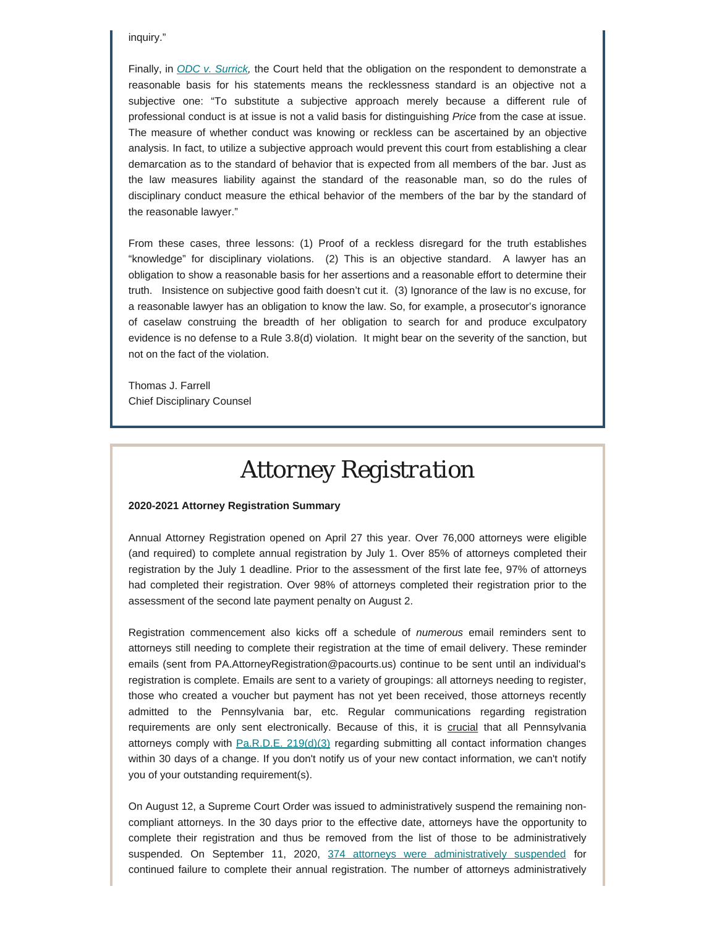inquiry."

Finally, in *ODC v. Surrick*, the Court held that the obligation on the respondent to demonstrate a reasonable basis for his statements means the recklessness standard is an objective not a subjective one: "To substitute a subjective approach merely because a different rule of professional conduct is at issue is not a valid basis for distinguishing *Price* from the case at issue. The measure of whether conduct was knowing or reckless can be ascertained by an objective analysis. In fact, to utilize a subjective approach would prevent this court from establishing a clear demarcation as to the standard of behavior that is expected from all members of the bar. Just as the law measures liability against the standard of the reasonable man, so do the rules of disciplinary conduct measure the ethical behavior of the members of the bar by the standard of the reasonable lawyer."

From these cases, three lessons: (1) Proof of a reckless disregard for the truth establishes "knowledge" for disciplinary violations. (2) This is an objective standard. A lawyer has an obligation to show a reasonable basis for her assertions and a reasonable effort to determine their truth. Insistence on subjective good faith doesn't cut it. (3) Ignorance of the law is no excuse, for a reasonable lawyer has an obligation to know the law. So, for example, a prosecutor's ignorance of caselaw construing the breadth of her obligation to search for and produce exculpatory evidence is no defense to a Rule 3.8(d) violation. It might bear on the severity of the sanction, but not on the fact of the violation.

Thomas J. Farrell Chief Disciplinary Counsel

## *Attorney Registration*

#### **2020-2021 Attorney Registration Summary**

Annual Attorney Registration opened on April 27 this year. Over 76,000 attorneys were eligible (and required) to complete annual registration by July 1. Over 85% of attorneys completed their registration by the July 1 deadline. Prior to the assessment of the first late fee, 97% of attorneys had completed their registration. Over 98% of attorneys completed their registration prior to the assessment of the second late payment penalty on August 2.

Registration commencement also kicks off a schedule of *numerous* email reminders sent to attorneys still needing to complete their registration at the time of email delivery. These reminder emails (sent from PA.AttorneyRegistration@pacourts.us) continue to be sent until an individual's registration is complete. Emails are sent to a variety of groupings: all attorneys needing to register, those who created a voucher but payment has not yet been received, those attorneys recently admitted to the Pennsylvania bar, etc. Regular communications regarding registration requirements are only sent electronically. Because of this, it is crucial that all Pennsylvania attorneys comply with  $Pa.R.D.E. 219(d)(3)$  regarding submitting all contact information changes within 30 days of a change. If you don't notify us of your new contact information, we can't notify you of your outstanding requirement(s).

On August 12, a Supreme Court Order was issued to administratively suspend the remaining noncompliant attorneys. In the 30 days prior to the effective date, attorneys have the opportunity to complete their registration and thus be removed from the list of those to be administratively suspended. On September 11, 2020, [374 attorneys were administratively](http://www.padisciplinaryboard.org/Storage/media/pdfs/20200911/174807-nonpaymentlisting-final.pdf) suspended for continued failure to complete their annual registration. The number of attorneys administratively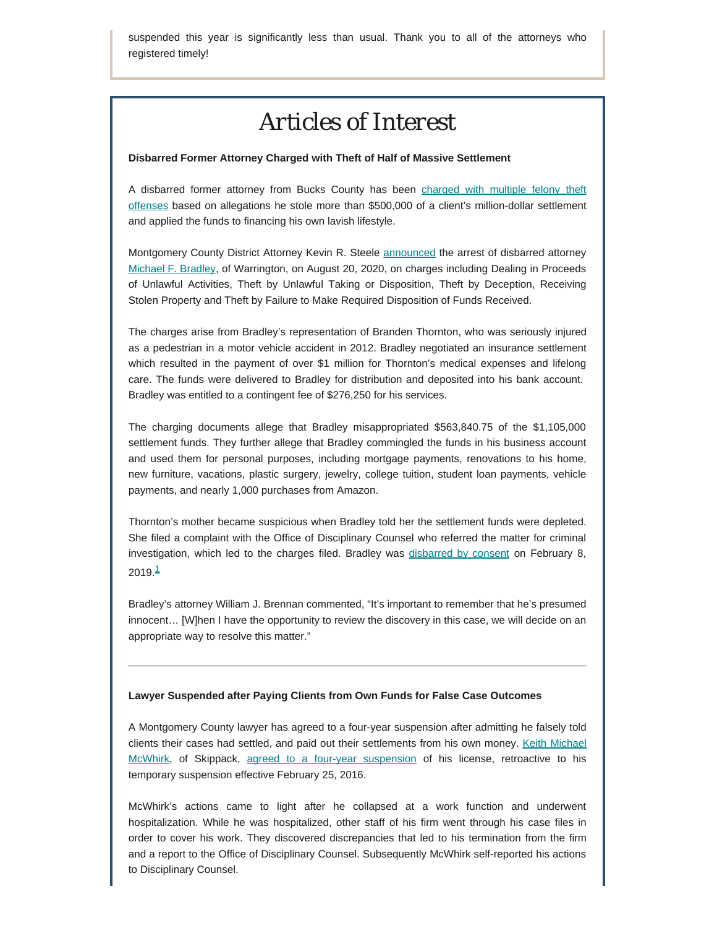suspended this year is significantly less than usual. Thank you to all of the attorneys who registered timely!

# *Articles of Interest*

#### **Disbarred Former Attorney Charged with Theft of Half of Massive Settlement**

A disbarred former attorney from Bucks County has been [charged with multiple felony theft](https://www.inquirer.com/news/michael-bradley-montgomery-county-disbarred-theft-fraud-20200820.html) [offenses](https://www.inquirer.com/news/michael-bradley-montgomery-county-disbarred-theft-fraud-20200820.html) based on allegations he stole more than \$500,000 of a client's million-dollar settlement and applied the funds to financing his own lavish lifestyle.

Montgomery County District Attorney Kevin R. Steele [announced](https://www.montcopa.org/ArchiveCenter/ViewFile/Item/5252) the arrest of disbarred attorney [Michael F. Bradley](https://www.padisciplinaryboard.org/for-the-public/find-attorney/attorney-detail/77283), of Warrington, on August 20, 2020, on charges including Dealing in Proceeds of Unlawful Activities, Theft by Unlawful Taking or Disposition, Theft by Deception, Receiving Stolen Property and Theft by Failure to Make Required Disposition of Funds Received.

The charges arise from Bradley's representation of Branden Thornton, who was seriously injured as a pedestrian in a motor vehicle accident in 2012. Bradley negotiated an insurance settlement which resulted in the payment of over \$1 million for Thornton's medical expenses and lifelong care. The funds were delivered to Bradley for distribution and deposited into his bank account. Bradley was entitled to a contingent fee of \$276,250 for his services.

The charging documents allege that Bradley misappropriated \$563,840.75 of the \$1,105,000 settlement funds. They further allege that Bradley commingled the funds in his business account and used them for personal purposes, including mortgage payments, renovations to his home, new furniture, vacations, plastic surgery, jewelry, college tuition, student loan payments, vehicle payments, and nearly 1,000 purchases from Amazon.

Thornton's mother became suspicious when Bradley told her the settlement funds were depleted. She filed a complaint with the Office of Disciplinary Counsel who referred the matter for criminal investigation, which led to the charges filed. Bradley was [disbarred by consent](http://www.pacourts.us/assets/opinions/DisciplinaryBoard/out/Bradley%20Order.pdf) on February 8,  $2019.<sup>1</sup>$  $2019.<sup>1</sup>$  $2019.<sup>1</sup>$ 

<span id="page-4-0"></span>Bradley's attorney William J. Brennan commented, "It's important to remember that he's presumed innocent… [W]hen I have the opportunity to review the discovery in this case, we will decide on an appropriate way to resolve this matter."

#### **Lawyer Suspended after Paying Clients from Own Funds for False Case Outcomes**

A Montgomery County lawyer has agreed to a four-year suspension after admitting he falsely told clients their cases had settled, and paid out their settlements from his own money. [Keith Michael](https://www.padisciplinaryboard.org/for-the-public/find-attorney/attorney-detail/83891) [McWhirk,](https://www.padisciplinaryboard.org/for-the-public/find-attorney/attorney-detail/83891) of Skippack, [agreed to a four-year suspension](http://www.pacourts.us/assets/opinions/DisciplinaryBoard/out/28DB2016-McWhirk.pdf) of his license, retroactive to his temporary suspension effective February 25, 2016.

McWhirk's actions came to light after he collapsed at a work function and underwent hospitalization. While he was hospitalized, other staff of his firm went through his case files in order to cover his work. They discovered discrepancies that led to his termination from the firm and a report to the Office of Disciplinary Counsel. Subsequently McWhirk self-reported his actions to Disciplinary Counsel.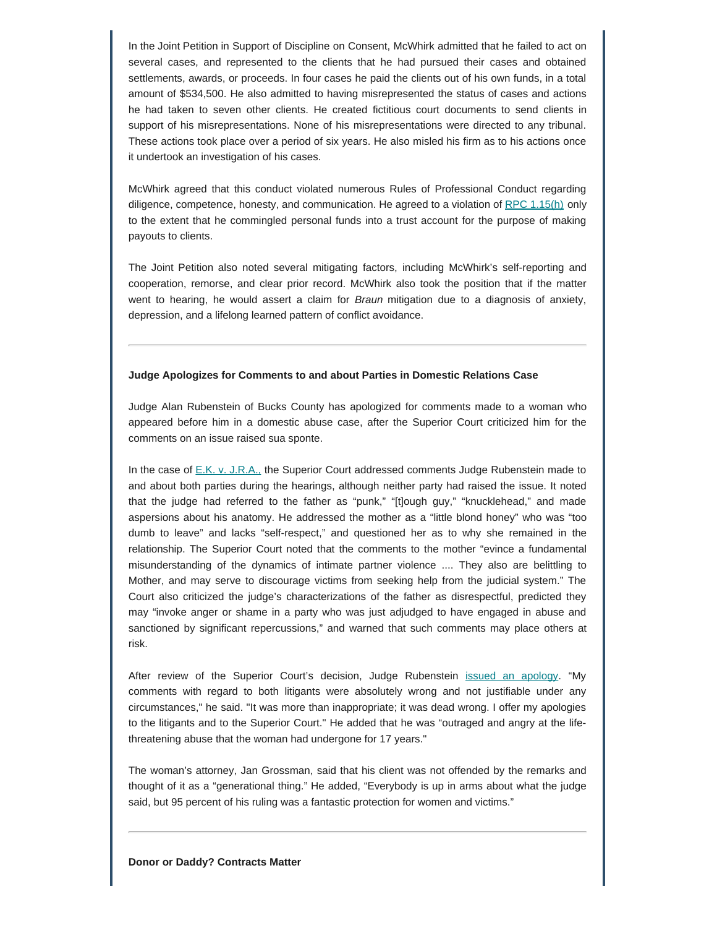In the Joint Petition in Support of Discipline on Consent, McWhirk admitted that he failed to act on several cases, and represented to the clients that he had pursued their cases and obtained settlements, awards, or proceeds. In four cases he paid the clients out of his own funds, in a total amount of \$534,500. He also admitted to having misrepresented the status of cases and actions he had taken to seven other clients. He created fictitious court documents to send clients in support of his misrepresentations. None of his misrepresentations were directed to any tribunal. These actions took place over a period of six years. He also misled his firm as to his actions once it undertook an investigation of his cases.

McWhirk agreed that this conduct violated numerous Rules of Professional Conduct regarding diligence, competence, honesty, and communication. He agreed to a violation of RPC  $1.15(h)$  only to the extent that he commingled personal funds into a trust account for the purpose of making payouts to clients.

The Joint Petition also noted several mitigating factors, including McWhirk's self-reporting and cooperation, remorse, and clear prior record. McWhirk also took the position that if the matter went to hearing, he would assert a claim for *Braun* mitigation due to a diagnosis of anxiety, depression, and a lifelong learned pattern of conflict avoidance.

#### **Judge Apologizes for Comments to and about Parties in Domestic Relations Case**

Judge Alan Rubenstein of Bucks County has apologized for comments made to a woman who appeared before him in a domestic abuse case, after the Superior Court criticized him for the comments on an issue raised sua sponte.

In the case of [E.K. v. J.R.A.,](http://www.pacourts.us/assets/opinions/Superior/out/J-A13031-20o%20-%20104508250108578008.pdf?cb=1) the Superior Court addressed comments Judge Rubenstein made to and about both parties during the hearings, although neither party had raised the issue. It noted that the judge had referred to the father as "punk," "[t]ough guy," "knucklehead," and made aspersions about his anatomy. He addressed the mother as a "little blond honey" who was "too dumb to leave" and lacks "self-respect," and questioned her as to why she remained in the relationship. The Superior Court noted that the comments to the mother "evince a fundamental misunderstanding of the dynamics of intimate partner violence .... They also are belittling to Mother, and may serve to discourage victims from seeking help from the judicial system." The Court also criticized the judge's characterizations of the father as disrespectful, predicted they may "invoke anger or shame in a party who was just adjudged to have engaged in abuse and sanctioned by significant repercussions," and warned that such comments may place others at risk.

After review of the Superior Court's decision, Judge Rubenstein [issued an apology](https://www.buckscountycouriertimes.com/story/news/local/2020/08/14/bucks-county-judge-alan-rubenstein-apologizes-sexist-comments/3375610001/). "My comments with regard to both litigants were absolutely wrong and not justifiable under any circumstances," he said. "It was more than inappropriate; it was dead wrong. I offer my apologies to the litigants and to the Superior Court." He added that he was "outraged and angry at the lifethreatening abuse that the woman had undergone for 17 years."

The woman's attorney, Jan Grossman, said that his client was not offended by the remarks and thought of it as a "generational thing." He added, "Everybody is up in arms about what the judge said, but 95 percent of his ruling was a fantastic protection for women and victims."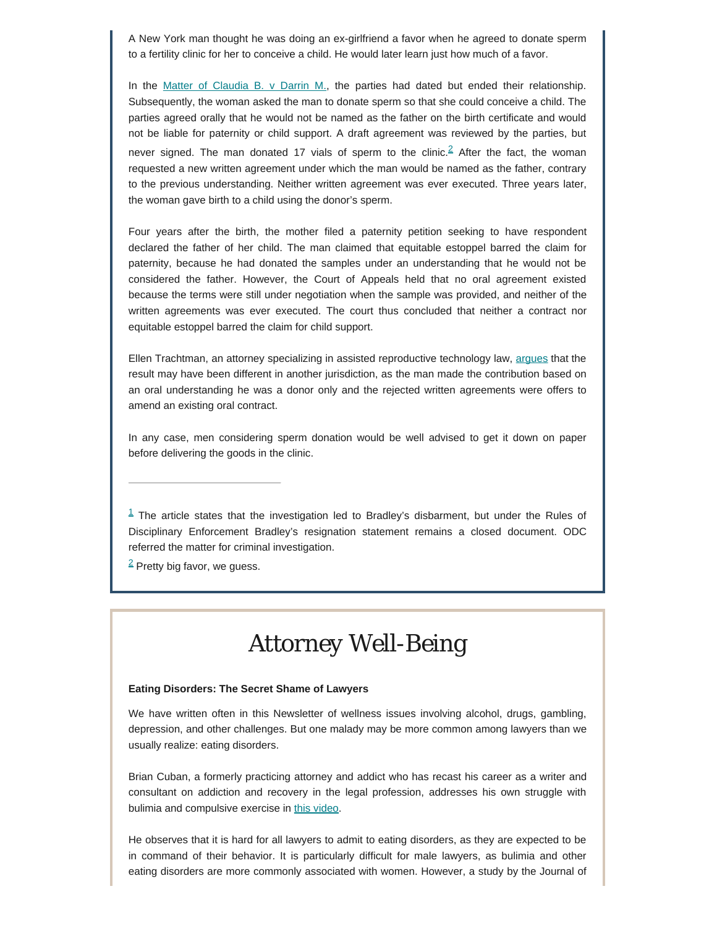A New York man thought he was doing an ex-girlfriend a favor when he agreed to donate sperm to a fertility clinic for her to conceive a child. He would later learn just how much of a favor.

<span id="page-6-2"></span>In the Matter of Claudia B.  $\vee$  Darrin M., the parties had dated but ended their relationship. Subsequently, the woman asked the man to donate sperm so that she could conceive a child. The parties agreed orally that he would not be named as the father on the birth certificate and would not be liable for paternity or child support. A draft agreement was reviewed by the parties, but never signed. The man donated 17 vials of sperm to the clinic.<sup>[2](#page-6-1)</sup> After the fact, the woman requested a new written agreement under which the man would be named as the father, contrary to the previous understanding. Neither written agreement was ever executed. Three years later, the woman gave birth to a child using the donor's sperm.

Four years after the birth, the mother filed a paternity petition seeking to have respondent declared the father of her child. The man claimed that equitable estoppel barred the claim for paternity, because he had donated the samples under an understanding that he would not be considered the father. However, the Court of Appeals held that no oral agreement existed because the terms were still under negotiation when the sample was provided, and neither of the written agreements was ever executed. The court thus concluded that neither a contract nor equitable estoppel barred the claim for child support.

Ellen Trachtman, an attorney specializing in assisted reproductive technology law, [argues](https://abovethelaw.com/2020/08/sperm-donors-need-to-cross-their-ts-and-dot-their-is-or-end-up-like-this-guy/?rf=1) that the result may have been different in another jurisdiction, as the man made the contribution based on an oral understanding he was a donor only and the rejected written agreements were offers to amend an existing oral contract.

In any case, men considering sperm donation would be well advised to get it down on paper before delivering the goods in the clinic.

<span id="page-6-0"></span> $1$  The article states that the investigation led to Bradley's disbarment, but under the Rules of Disciplinary Enforcement Bradley's resignation statement remains a closed document. ODC referred the matter for criminal investigation.

<span id="page-6-1"></span> $2$  Pretty big favor, we guess.

## *Attorney Well-Being*

#### **Eating Disorders: The Secret Shame of Lawyers**

We have written often in this Newsletter of wellness issues involving alcohol, drugs, gambling, depression, and other challenges. But one malady may be more common among lawyers than we usually realize: eating disorders.

Brian Cuban, a formerly practicing attorney and addict who has recast his career as a writer and consultant on addiction and recovery in the legal profession, addresses his own struggle with bulimia and compulsive exercise in [this video](https://abovethelaw.com/2020/08/the-stigma-of-eating-disorders/?rf=1).

He observes that it is hard for all lawyers to admit to eating disorders, as they are expected to be in command of their behavior. It is particularly difficult for male lawyers, as bulimia and other eating disorders are more commonly associated with women. However, a study by the Journal of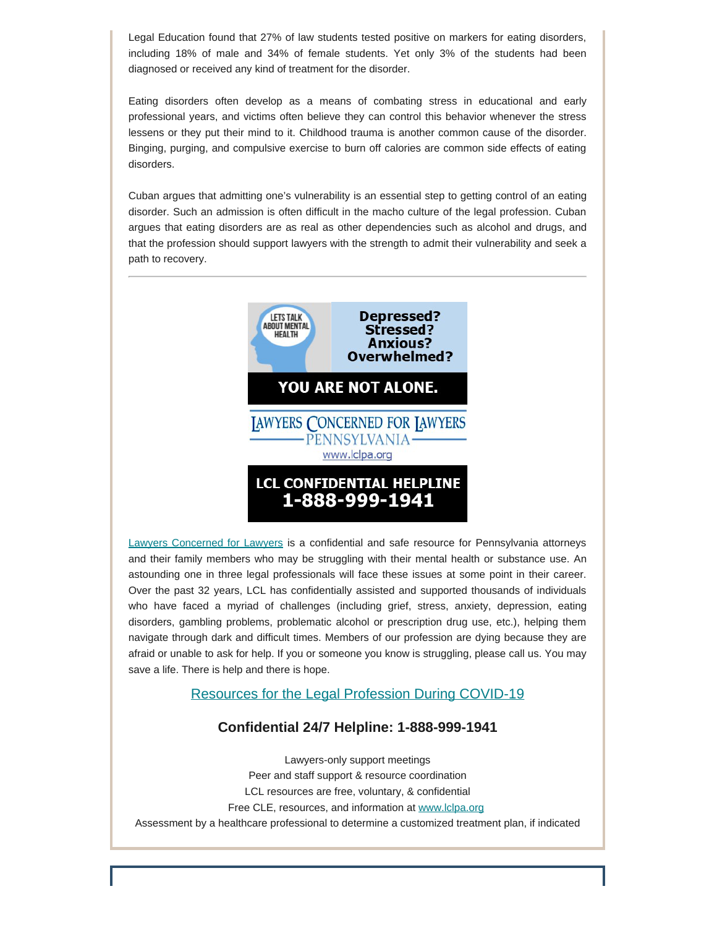Legal Education found that 27% of law students tested positive on markers for eating disorders, including 18% of male and 34% of female students. Yet only 3% of the students had been diagnosed or received any kind of treatment for the disorder.

Eating disorders often develop as a means of combating stress in educational and early professional years, and victims often believe they can control this behavior whenever the stress lessens or they put their mind to it. Childhood trauma is another common cause of the disorder. Binging, purging, and compulsive exercise to burn off calories are common side effects of eating disorders.

Cuban argues that admitting one's vulnerability is an essential step to getting control of an eating disorder. Such an admission is often difficult in the macho culture of the legal profession. Cuban argues that eating disorders are as real as other dependencies such as alcohol and drugs, and that the profession should support lawyers with the strength to admit their vulnerability and seek a path to recovery.



[Lawyers Concerned for Lawyers](https://www.lclpa.org/) is a confidential and safe resource for Pennsylvania attorneys and their family members who may be struggling with their mental health or substance use. An astounding one in three legal professionals will face these issues at some point in their career. Over the past 32 years, LCL has confidentially assisted and supported thousands of individuals who have faced a myriad of challenges (including grief, stress, anxiety, depression, eating disorders, gambling problems, problematic alcohol or prescription drug use, etc.), helping them navigate through dark and difficult times. Members of our profession are dying because they are afraid or unable to ask for help. If you or someone you know is struggling, please call us. You may save a life. There is help and there is hope.

### [Resources for the Legal Profession During COVID-19](https://www.lclpa.org/wp-content/uploads/2020/09/COVID-19-Resources-UPDATE-LCL-PA-September-15-2020-for-gen.-distr..pdf)

### **Confidential 24/7 Helpline: 1-888-999-1941**

Lawyers-only support meetings Peer and staff support & resource coordination LCL resources are free, voluntary, & confidential Free CLE, resources, and information at [www.lclpa.org](https://www.lclpa.org/) Assessment by a healthcare professional to determine a customized treatment plan, if indicated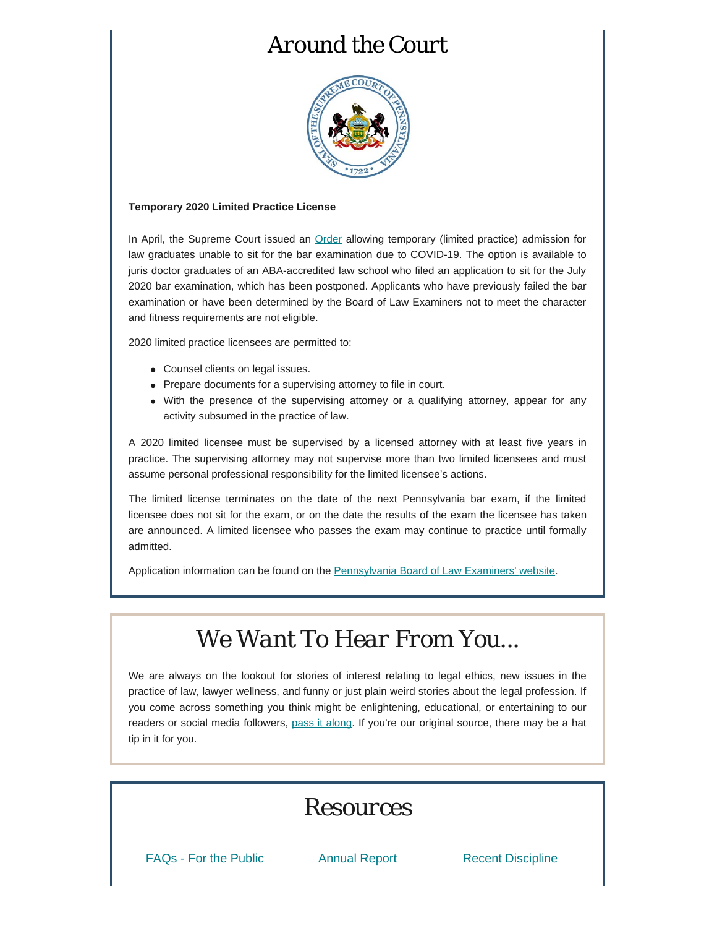# *Around the Court*



#### **Temporary 2020 Limited Practice License**

In April, the Supreme Court issued an **[Order](https://www.pabarexam.org/pdf/Supervised_Limited_Practice_Order.pdf) allowing temporary (limited practice)** admission for law graduates unable to sit for the bar examination due to COVID-19. The option is available to juris doctor graduates of an ABA-accredited law school who filed an application to sit for the July 2020 bar examination, which has been postponed. Applicants who have previously failed the bar examination or have been determined by the Board of Law Examiners not to meet the character and fitness requirements are not eligible.

2020 limited practice licensees are permitted to:

- Counsel clients on legal issues.
- Prepare documents for a supervising attorney to file in court.
- With the presence of the supervising attorney or a qualifying attorney, appear for any activity subsumed in the practice of law.

A 2020 limited licensee must be supervised by a licensed attorney with at least five years in practice. The supervising attorney may not supervise more than two limited licensees and must assume personal professional responsibility for the limited licensee's actions.

The limited license terminates on the date of the next Pennsylvania bar exam, if the limited licensee does not sit for the exam, or on the date the results of the exam the licensee has taken are announced. A limited licensee who passes the exam may continue to practice until formally admitted.

Application information can be found on the **Pennsylvania Board of Law Examiners'** website.

# *We Want To Hear From You...*

We are always on the lookout for stories of interest relating to legal ethics, new issues in the practice of law, lawyer wellness, and funny or just plain weird stories about the legal profession. If you come across something you think might be enlightening, educational, or entertaining to our readers or social media followers, [pass it along](mailto:dboard.news@pacourts.us). If you're our original source, there may be a hat tip in it for you.



[FAQs - For the Public](https://www.padisciplinaryboard.org/for-the-public/resources) [Annual Report](https://www.padisciplinaryboard.org/about/reports) [Recent Discipline](https://www.padisciplinaryboard.org/for-the-public/search-recent-discipline)